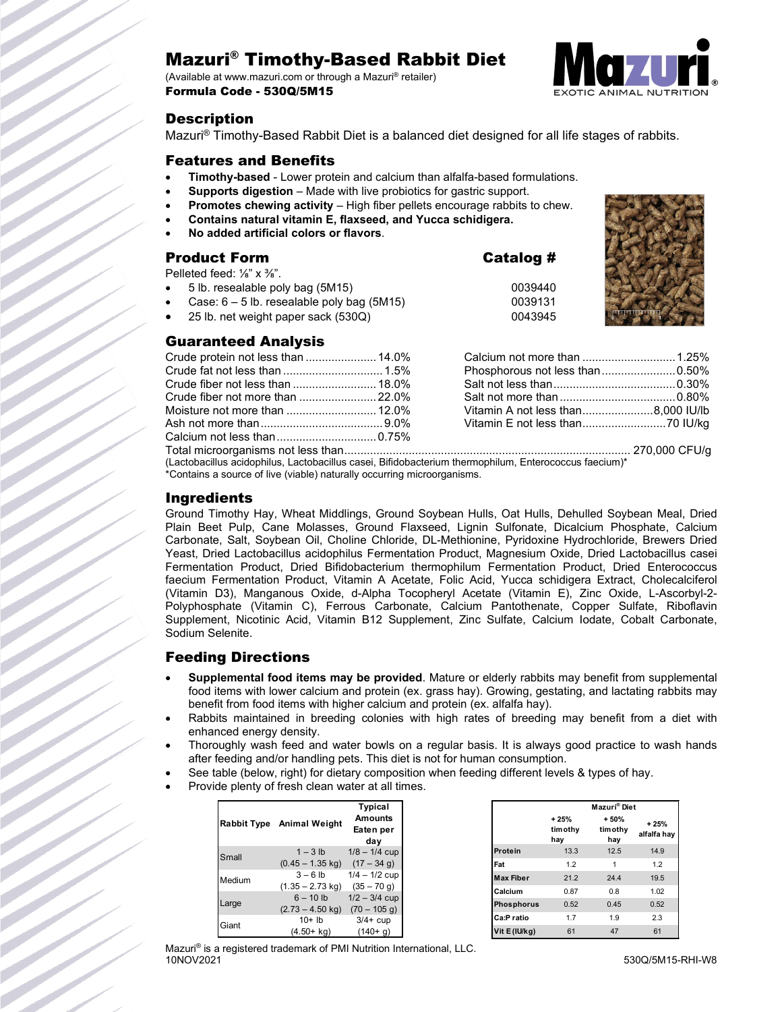# Mazuri® Timothy-Based Rabbit Diet

(Available at www.mazuri.com or through a Mazuri® retailer) Formula Code - 530Q/5M15



## **Description**

Mazuri® Timothy-Based Rabbit Diet is a balanced diet designed for all life stages of rabbits.

### Features and Benefits

- **Timothy-based** Lower protein and calcium than alfalfa-based formulations.
- **Supports digestion** Made with live probiotics for gastric support.
- **Promotes chewing activity** High fiber pellets encourage rabbits to chew.
- **Contains natural vitamin E, flaxseed, and Yucca schidigera.**
- **No added artificial colors or flavors**.

## Product Form Catalog #

Pelleted feed: 1/<sub>8</sub>" x 3/<sub>8</sub>".

- 5 lb. resealable poly bag (5M15)
- Case:  $6 5$  lb. resealable poly bag (5M15)
- 25 lb. net weight paper sack (530Q)

## Guaranteed Analysis

| 0039440<br>0039131<br>0043945              |        |
|--------------------------------------------|--------|
|                                            |        |
| sphorous not less than0.50%                |        |
|                                            |        |
| المدامر بالقرام والمراجع والمراجع والمراجع | 0.0001 |

(Lactobacillus acidophilus, Lactobacillus casei, Bifidobacterium thermophilum, Enterococcus faecium)\* \*Contains a source of live (viable) naturally occurring microorganisms.

### Ingredients

Ground Timothy Hay, Wheat Middlings, Ground Soybean Hulls, Oat Hulls, Dehulled Soybean Meal, Dried Plain Beet Pulp, Cane Molasses, Ground Flaxseed, Lignin Sulfonate, Dicalcium Phosphate, Calcium Carbonate, Salt, Soybean Oil, Choline Chloride, DL-Methionine, Pyridoxine Hydrochloride, Brewers Dried Yeast, Dried Lactobacillus acidophilus Fermentation Product, Magnesium Oxide, Dried Lactobacillus casei Fermentation Product, Dried Bifidobacterium thermophilum Fermentation Product, Dried Enterococcus faecium Fermentation Product, Vitamin A Acetate, Folic Acid, Yucca schidigera Extract, Cholecalciferol (Vitamin D3), Manganous Oxide, d-Alpha Tocopheryl Acetate (Vitamin E), Zinc Oxide, L-Ascorbyl-2- Polyphosphate (Vitamin C), Ferrous Carbonate, Calcium Pantothenate, Copper Sulfate, Riboflavin Supplement, Nicotinic Acid, Vitamin B12 Supplement, Zinc Sulfate, Calcium Iodate, Cobalt Carbonate, Sodium Selenite.

## Feeding Directions

- **Supplemental food items may be provided**. Mature or elderly rabbits may benefit from supplemental food items with lower calcium and protein (ex. grass hay). Growing, gestating, and lactating rabbits may benefit from food items with higher calcium and protein (ex. alfalfa hay).
- Rabbits maintained in breeding colonies with high rates of breeding may benefit from a diet with enhanced energy density.
- Thoroughly wash feed and water bowls on a regular basis. It is always good practice to wash hands after feeding and/or handling pets. This diet is not for human consumption.
- See table (below, right) for dietary composition when feeding different levels & types of hay.
- Provide plenty of fresh clean water at all times.

|        | Rabbit Type Animal Weight                 | <b>Typical</b><br><b>Amounts</b><br>Eaten per<br>day |
|--------|-------------------------------------------|------------------------------------------------------|
| Small  | $1 - 3$ lb<br>$(0.45 - 1.35$ kg)          | $1/8 - 1/4$ cup<br>$(17 - 34 g)$                     |
| Medium | $3 - 6$ lb<br>$(1.35 - 2.73$ kg)          | $1/4 - 1/2$ cup<br>$(35 - 70 g)$                     |
| Large  | $6 - 10$ lb<br>$(2.73 - 4.50 \text{ kg})$ | $1/2 - 3/4$ cup<br>$(70 - 105$ g)                    |
| Giant  | $10+$ lb<br>$(4.50 + kq)$                 | $3/4$ + cup<br>$(140+ g)$                            |

|                   |                           | Mazuri <sup>®</sup> Diet |                       |
|-------------------|---------------------------|--------------------------|-----------------------|
|                   | $+25%$<br>tim othy<br>hay | $+50%$<br>timothy<br>hay | $+25%$<br>alfalfa hay |
| <b>Protein</b>    | 13.3                      | 12.5                     | 14.9                  |
| Fat               | 1.2                       | 1                        | 1.2                   |
| <b>Max Fiber</b>  | 21.2                      | 24.4                     | 19.5                  |
| Calcium           | 0.87                      | 0.8                      | 1.02                  |
| <b>Phosphorus</b> | 0.52                      | 0.45                     | 0.52                  |
| Ca:P ratio        | 1.7                       | 1.9                      | 2.3                   |
| Vit E (IU/kg)     | 61                        | 47                       | 61                    |

Mazuri® is a registered trademark of PMI Nutrition International, LLC. 10NOV2021 530Q/5M15-RHI-W8